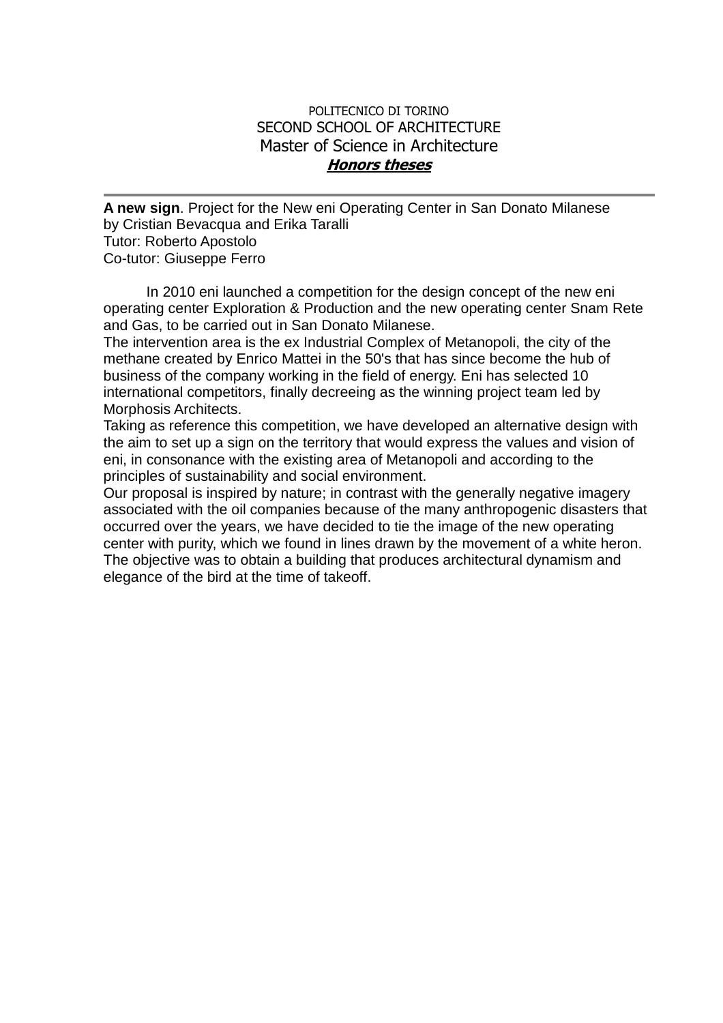## POLITECNICO DI TORINO SECOND SCHOOL OF ARCHITECTURE Master of Science in Architecture **Honors theses**

**A new sign**. Project for the New eni Operating Center in San Donato Milanese by Cristian Bevacqua and Erika Taralli Tutor: Roberto Apostolo Co-tutor: Giuseppe Ferro

In 2010 eni launched a competition for the design concept of the new eni operating center Exploration & Production and the new operating center Snam Rete and Gas, to be carried out in San Donato Milanese.

The intervention area is the ex Industrial Complex of Metanopoli, the city of the methane created by Enrico Mattei in the 50's that has since become the hub of business of the company working in the field of energy. Eni has selected 10 international competitors, finally decreeing as the winning project team led by Morphosis Architects.

Taking as reference this competition, we have developed an alternative design with the aim to set up a sign on the territory that would express the values and vision of eni, in consonance with the existing area of Metanopoli and according to the principles of sustainability and social environment.

Our proposal is inspired by nature; in contrast with the generally negative imagery associated with the oil companies because of the many anthropogenic disasters that occurred over the years, we have decided to tie the image of the new operating center with purity, which we found in lines drawn by the movement of a white heron. The objective was to obtain a building that produces architectural dynamism and elegance of the bird at the time of takeoff.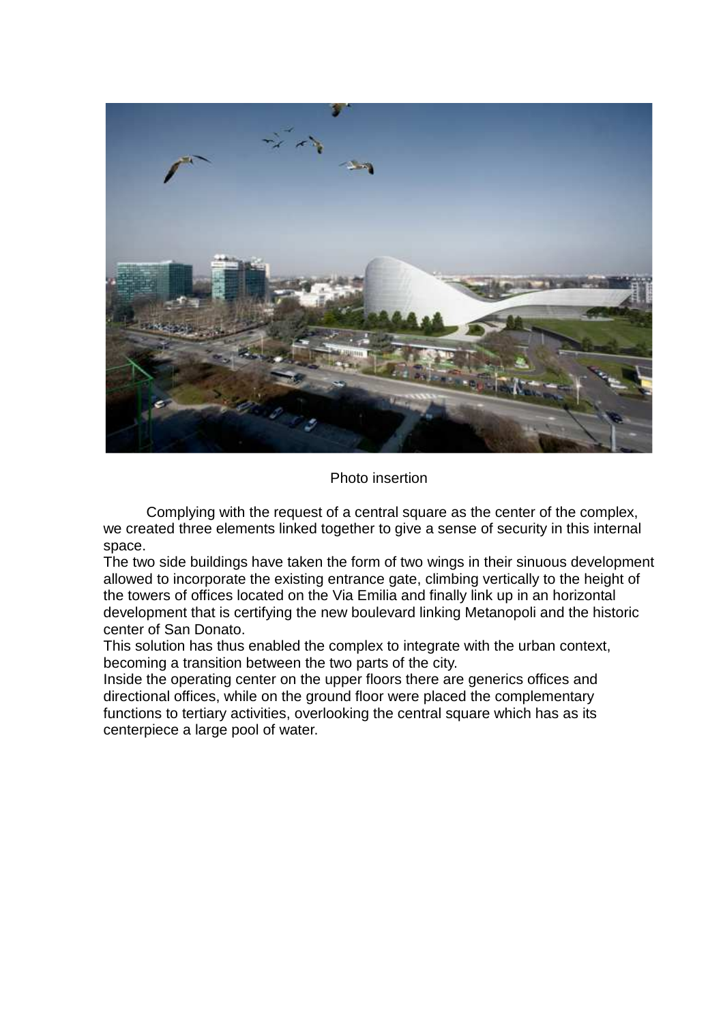

## Photo insertion

Complying with the request of a central square as the center of the complex, we created three elements linked together to give a sense of security in this internal space.

The two side buildings have taken the form of two wings in their sinuous development allowed to incorporate the existing entrance gate, climbing vertically to the height of the towers of offices located on the Via Emilia and finally link up in an horizontal development that is certifying the new boulevard linking Metanopoli and the historic center of San Donato.

This solution has thus enabled the complex to integrate with the urban context, becoming a transition between the two parts of the city.

Inside the operating center on the upper floors there are generics offices and directional offices, while on the ground floor were placed the complementary functions to tertiary activities, overlooking the central square which has as its centerpiece a large pool of water.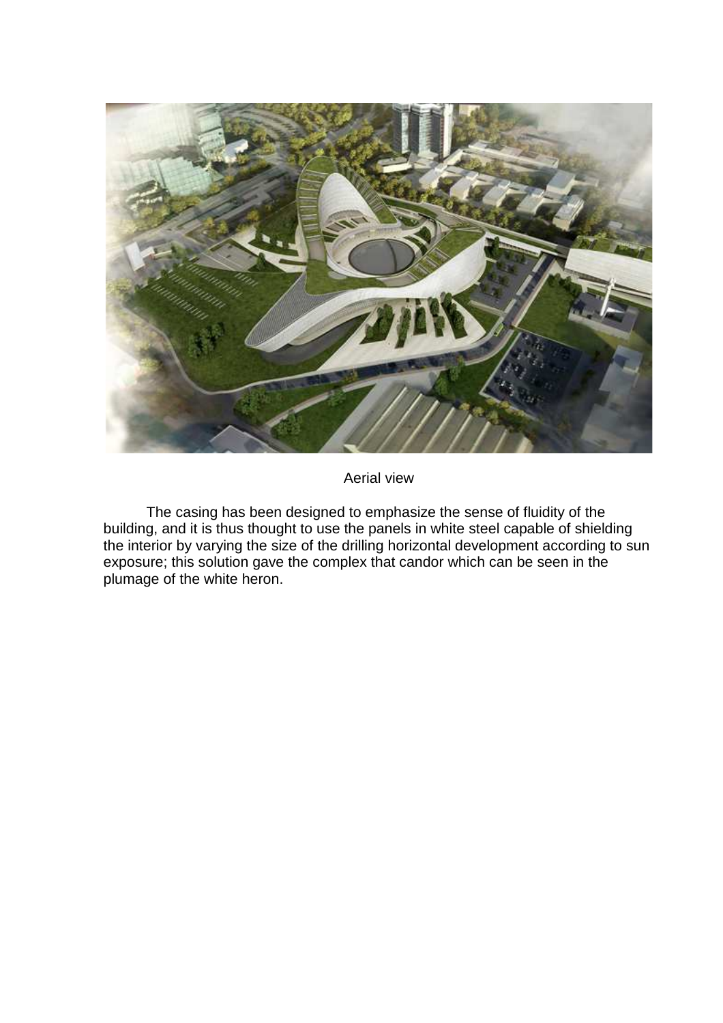

Aerial view

The casing has been designed to emphasize the sense of fluidity of the building, and it is thus thought to use the panels in white steel capable of shielding the interior by varying the size of the drilling horizontal development according to sun exposure; this solution gave the complex that candor which can be seen in the plumage of the white heron.